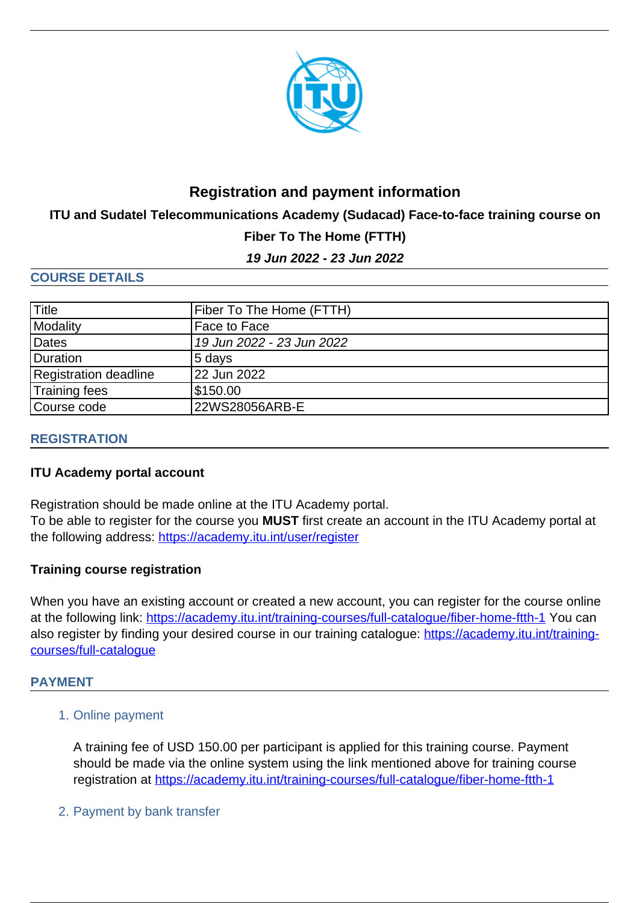

# **Registration and payment information**

**ITU and Sudatel Telecommunications Academy (Sudacad) Face-to-face training course on**

# **Fiber To The Home (FTTH)**

**19 Jun 2022 - 23 Jun 2022**

### **COURSE DETAILS**

| <b>Title</b>          | Fiber To The Home (FTTH)  |
|-----------------------|---------------------------|
| Modality              | Face to Face              |
| Dates                 | 19 Jun 2022 - 23 Jun 2022 |
| Duration              | 5 days                    |
| Registration deadline | 22 Jun 2022               |
| Training fees         | \$150.00                  |
| Course code           | 22WS28056ARB-E            |

# **REGISTRATION**

#### **ITU Academy portal account**

Registration should be made online at the ITU Academy portal.

To be able to register for the course you **MUST** first create an account in the ITU Academy portal at the following address: <https://academy.itu.int/user/register>

# **Training course registration**

When you have an existing account or created a new account, you can register for the course online at the following link:<https://academy.itu.int/training-courses/full-catalogue/fiber-home-ftth-1>You can also register by finding your desired course in our training catalogue: [https://academy.itu.int/training](https://academy.itu.int/user/register)[courses/full-catalogue](https://academy.itu.int/user/register)

#### **PAYMENT**

1. Online payment

A training fee of USD 150.00 per participant is applied for this training course. Payment should be made via the online system using the link mentioned above for training course registration at<https://academy.itu.int/training-courses/full-catalogue/fiber-home-ftth-1>

2. Payment by bank transfer